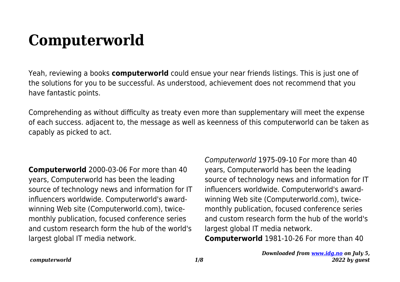## **Computerworld**

Yeah, reviewing a books **computerworld** could ensue your near friends listings. This is just one of the solutions for you to be successful. As understood, achievement does not recommend that you have fantastic points.

Comprehending as without difficulty as treaty even more than supplementary will meet the expense of each success. adjacent to, the message as well as keenness of this computerworld can be taken as capably as picked to act.

**Computerworld** 2000-03-06 For more than 40 years, Computerworld has been the leading source of technology news and information for IT influencers worldwide. Computerworld's awardwinning Web site (Computerworld.com), twicemonthly publication, focused conference series and custom research form the hub of the world's largest global IT media network.

Computerworld 1975-09-10 For more than 40 years, Computerworld has been the leading source of technology news and information for IT influencers worldwide. Computerworld's awardwinning Web site (Computerworld.com), twicemonthly publication, focused conference series and custom research form the hub of the world's largest global IT media network. **Computerworld** 1981-10-26 For more than 40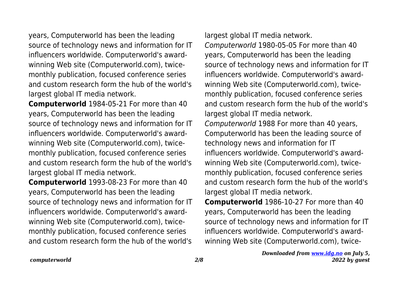years, Computerworld has been the leading source of technology news and information for IT influencers worldwide. Computerworld's awardwinning Web site (Computerworld.com), twicemonthly publication, focused conference series and custom research form the hub of the world's largest global IT media network.

**Computerworld** 1984-05-21 For more than 40 years, Computerworld has been the leading source of technology news and information for IT influencers worldwide. Computerworld's awardwinning Web site (Computerworld.com), twicemonthly publication, focused conference series and custom research form the hub of the world's largest global IT media network.

**Computerworld** 1993-08-23 For more than 40 years, Computerworld has been the leading source of technology news and information for IT influencers worldwide. Computerworld's awardwinning Web site (Computerworld.com), twicemonthly publication, focused conference series and custom research form the hub of the world's

largest global IT media network.

Computerworld 1980-05-05 For more than 40 years, Computerworld has been the leading source of technology news and information for IT influencers worldwide. Computerworld's awardwinning Web site (Computerworld.com), twicemonthly publication, focused conference series and custom research form the hub of the world's largest global IT media network. Computerworld 1988 For more than 40 years, Computerworld has been the leading source of technology news and information for IT influencers worldwide. Computerworld's awardwinning Web site (Computerworld.com), twicemonthly publication, focused conference series and custom research form the hub of the world's largest global IT media network.

**Computerworld** 1986-10-27 For more than 40 years, Computerworld has been the leading source of technology news and information for IT influencers worldwide. Computerworld's awardwinning Web site (Computerworld.com), twice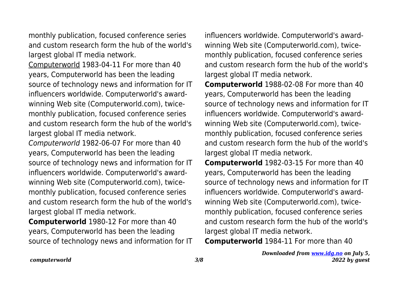monthly publication, focused conference series and custom research form the hub of the world's largest global IT media network.

Computerworld 1983-04-11 For more than 40 years, Computerworld has been the leading source of technology news and information for IT influencers worldwide. Computerworld's awardwinning Web site (Computerworld.com), twicemonthly publication, focused conference series and custom research form the hub of the world's largest global IT media network.

Computerworld 1982-06-07 For more than 40 years, Computerworld has been the leading source of technology news and information for IT influencers worldwide. Computerworld's awardwinning Web site (Computerworld.com), twicemonthly publication, focused conference series and custom research form the hub of the world's largest global IT media network.

**Computerworld** 1980-12 For more than 40 years, Computerworld has been the leading source of technology news and information for IT influencers worldwide. Computerworld's awardwinning Web site (Computerworld.com), twicemonthly publication, focused conference series and custom research form the hub of the world's largest global IT media network.

**Computerworld** 1988-02-08 For more than 40 years, Computerworld has been the leading source of technology news and information for IT influencers worldwide. Computerworld's awardwinning Web site (Computerworld.com), twicemonthly publication, focused conference series and custom research form the hub of the world's largest global IT media network.

**Computerworld** 1982-03-15 For more than 40 years, Computerworld has been the leading source of technology news and information for IT influencers worldwide. Computerworld's awardwinning Web site (Computerworld.com), twicemonthly publication, focused conference series and custom research form the hub of the world's largest global IT media network.

**Computerworld** 1984-11 For more than 40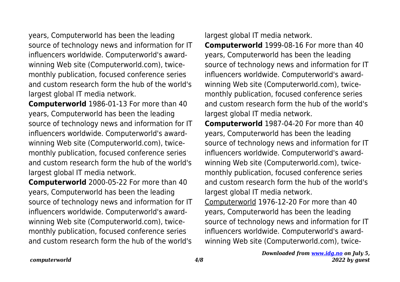years, Computerworld has been the leading source of technology news and information for IT influencers worldwide. Computerworld's awardwinning Web site (Computerworld.com), twicemonthly publication, focused conference series and custom research form the hub of the world's largest global IT media network.

**Computerworld** 1986-01-13 For more than 40 years, Computerworld has been the leading source of technology news and information for IT influencers worldwide. Computerworld's awardwinning Web site (Computerworld.com), twicemonthly publication, focused conference series and custom research form the hub of the world's largest global IT media network.

**Computerworld** 2000-05-22 For more than 40 years, Computerworld has been the leading source of technology news and information for IT influencers worldwide. Computerworld's awardwinning Web site (Computerworld.com), twicemonthly publication, focused conference series and custom research form the hub of the world's

largest global IT media network.

**Computerworld** 1999-08-16 For more than 40 years, Computerworld has been the leading source of technology news and information for IT influencers worldwide. Computerworld's awardwinning Web site (Computerworld.com), twicemonthly publication, focused conference series and custom research form the hub of the world's largest global IT media network.

**Computerworld** 1987-04-20 For more than 40 years, Computerworld has been the leading source of technology news and information for IT influencers worldwide. Computerworld's awardwinning Web site (Computerworld.com), twicemonthly publication, focused conference series and custom research form the hub of the world's largest global IT media network.

Computerworld 1976-12-20 For more than 40 years, Computerworld has been the leading source of technology news and information for IT influencers worldwide. Computerworld's awardwinning Web site (Computerworld.com), twice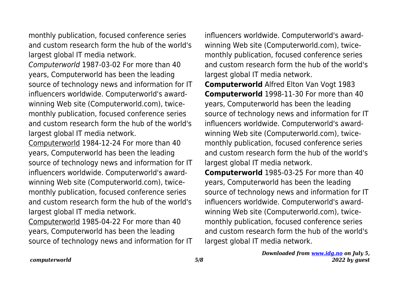monthly publication, focused conference series and custom research form the hub of the world's largest global IT media network.

Computerworld 1987-03-02 For more than 40 years, Computerworld has been the leading source of technology news and information for IT influencers worldwide. Computerworld's awardwinning Web site (Computerworld.com), twicemonthly publication, focused conference series and custom research form the hub of the world's largest global IT media network.

Computerworld 1984-12-24 For more than 40 years, Computerworld has been the leading source of technology news and information for IT influencers worldwide. Computerworld's awardwinning Web site (Computerworld.com), twicemonthly publication, focused conference series and custom research form the hub of the world's largest global IT media network.

Computerworld 1985-04-22 For more than 40 years, Computerworld has been the leading source of technology news and information for IT influencers worldwide. Computerworld's awardwinning Web site (Computerworld.com), twicemonthly publication, focused conference series and custom research form the hub of the world's largest global IT media network.

**Computerworld** Alfred Elton Van Vogt 1983 **Computerworld** 1998-11-30 For more than 40 years, Computerworld has been the leading source of technology news and information for IT influencers worldwide. Computerworld's awardwinning Web site (Computerworld.com), twicemonthly publication, focused conference series and custom research form the hub of the world's largest global IT media network.

**Computerworld** 1985-03-25 For more than 40 years, Computerworld has been the leading source of technology news and information for IT influencers worldwide. Computerworld's awardwinning Web site (Computerworld.com), twicemonthly publication, focused conference series and custom research form the hub of the world's largest global IT media network.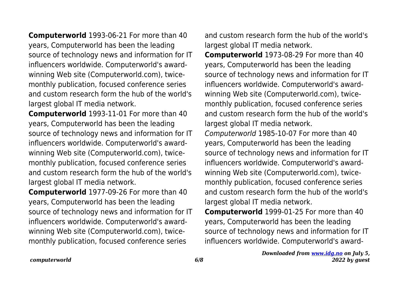**Computerworld** 1993-06-21 For more than 40 years, Computerworld has been the leading source of technology news and information for IT influencers worldwide. Computerworld's awardwinning Web site (Computerworld.com), twicemonthly publication, focused conference series and custom research form the hub of the world's largest global IT media network.

**Computerworld** 1993-11-01 For more than 40 years, Computerworld has been the leading source of technology news and information for IT influencers worldwide. Computerworld's awardwinning Web site (Computerworld.com), twicemonthly publication, focused conference series and custom research form the hub of the world's largest global IT media network.

**Computerworld** 1977-09-26 For more than 40 years, Computerworld has been the leading source of technology news and information for IT influencers worldwide. Computerworld's awardwinning Web site (Computerworld.com), twicemonthly publication, focused conference series

and custom research form the hub of the world's largest global IT media network.

**Computerworld** 1973-08-29 For more than 40 years, Computerworld has been the leading source of technology news and information for IT influencers worldwide. Computerworld's awardwinning Web site (Computerworld.com), twicemonthly publication, focused conference series and custom research form the hub of the world's largest global IT media network.

Computerworld 1985-10-07 For more than 40 years, Computerworld has been the leading source of technology news and information for IT influencers worldwide. Computerworld's awardwinning Web site (Computerworld.com), twicemonthly publication, focused conference series and custom research form the hub of the world's largest global IT media network.

**Computerworld** 1999-01-25 For more than 40 years, Computerworld has been the leading source of technology news and information for IT influencers worldwide. Computerworld's award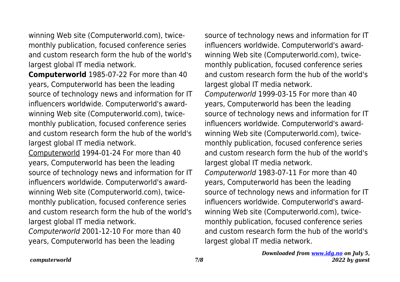winning Web site (Computerworld.com), twicemonthly publication, focused conference series and custom research form the hub of the world's largest global IT media network.

**Computerworld** 1985-07-22 For more than 40 years, Computerworld has been the leading source of technology news and information for IT influencers worldwide. Computerworld's awardwinning Web site (Computerworld.com), twicemonthly publication, focused conference series and custom research form the hub of the world's largest global IT media network.

Computerworld 1994-01-24 For more than 40 years, Computerworld has been the leading source of technology news and information for IT influencers worldwide. Computerworld's awardwinning Web site (Computerworld.com), twicemonthly publication, focused conference series and custom research form the hub of the world's largest global IT media network.

Computerworld 2001-12-10 For more than 40 years, Computerworld has been the leading

source of technology news and information for IT influencers worldwide. Computerworld's awardwinning Web site (Computerworld.com), twicemonthly publication, focused conference series and custom research form the hub of the world's largest global IT media network. Computerworld 1999-03-15 For more than 40 years, Computerworld has been the leading source of technology news and information for IT influencers worldwide. Computerworld's awardwinning Web site (Computerworld.com), twicemonthly publication, focused conference series and custom research form the hub of the world's largest global IT media network. Computerworld 1983-07-11 For more than 40 years, Computerworld has been the leading source of technology news and information for IT influencers worldwide. Computerworld's awardwinning Web site (Computerworld.com), twicemonthly publication, focused conference series and custom research form the hub of the world's largest global IT media network.